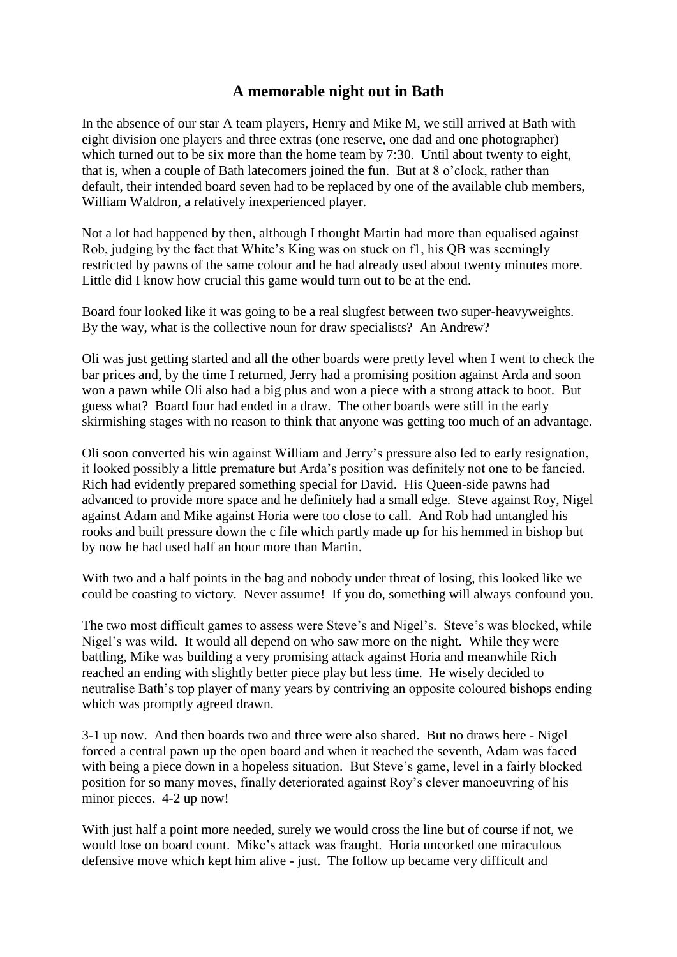## **A memorable night out in Bath**

In the absence of our star A team players, Henry and Mike M, we still arrived at Bath with eight division one players and three extras (one reserve, one dad and one photographer) which turned out to be six more than the home team by 7:30. Until about twenty to eight, that is, when a couple of Bath latecomers joined the fun. But at 8 o'clock, rather than default, their intended board seven had to be replaced by one of the available club members, William Waldron, a relatively inexperienced player.

Not a lot had happened by then, although I thought Martin had more than equalised against Rob, judging by the fact that White's King was on stuck on f1, his QB was seemingly restricted by pawns of the same colour and he had already used about twenty minutes more. Little did I know how crucial this game would turn out to be at the end.

Board four looked like it was going to be a real slugfest between two super-heavyweights. By the way, what is the collective noun for draw specialists? An Andrew?

Oli was just getting started and all the other boards were pretty level when I went to check the bar prices and, by the time I returned, Jerry had a promising position against Arda and soon won a pawn while Oli also had a big plus and won a piece with a strong attack to boot. But guess what? Board four had ended in a draw. The other boards were still in the early skirmishing stages with no reason to think that anyone was getting too much of an advantage.

Oli soon converted his win against William and Jerry's pressure also led to early resignation, it looked possibly a little premature but Arda's position was definitely not one to be fancied. Rich had evidently prepared something special for David. His Queen-side pawns had advanced to provide more space and he definitely had a small edge. Steve against Roy, Nigel against Adam and Mike against Horia were too close to call. And Rob had untangled his rooks and built pressure down the c file which partly made up for his hemmed in bishop but by now he had used half an hour more than Martin.

With two and a half points in the bag and nobody under threat of losing, this looked like we could be coasting to victory. Never assume! If you do, something will always confound you.

The two most difficult games to assess were Steve's and Nigel's. Steve's was blocked, while Nigel's was wild. It would all depend on who saw more on the night. While they were battling, Mike was building a very promising attack against Horia and meanwhile Rich reached an ending with slightly better piece play but less time. He wisely decided to neutralise Bath's top player of many years by contriving an opposite coloured bishops ending which was promptly agreed drawn.

3-1 up now. And then boards two and three were also shared. But no draws here - Nigel forced a central pawn up the open board and when it reached the seventh, Adam was faced with being a piece down in a hopeless situation. But Steve's game, level in a fairly blocked position for so many moves, finally deteriorated against Roy's clever manoeuvring of his minor pieces. 4-2 up now!

With just half a point more needed, surely we would cross the line but of course if not, we would lose on board count. Mike's attack was fraught. Horia uncorked one miraculous defensive move which kept him alive - just. The follow up became very difficult and